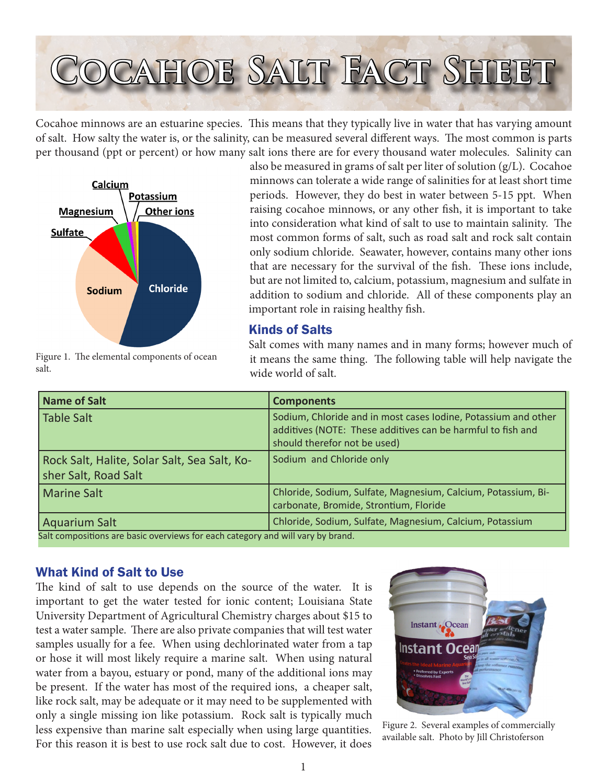# **Cocahoe Salt Fact Sheet**

Cocahoe minnows are an estuarine species. This means that they typically live in water that has varying amount of salt. How salty the water is, or the salinity, can be measured several different ways. The most common is parts per thousand (ppt or percent) or how many salt ions there are for every thousand water molecules. Salinity can



also be measured in grams of salt per liter of solution (g/L). Cocahoe minnows can tolerate a wide range of salinities for at least short time periods. However, they do best in water between 5-15 ppt. When raising cocahoe minnows, or any other fish, it is important to take into consideration what kind of salt to use to maintain salinity. The most common forms of salt, such as road salt and rock salt contain only sodium chloride. Seawater, however, contains many other ions that are necessary for the survival of the fish. These ions include, but are not limited to, calcium, potassium, magnesium and sulfate in addition to sodium and chloride. All of these components play an important role in raising healthy fish.

## Kinds of Salts

Figure 1. The elemental components of ocean salt.

Salt comes with many names and in many forms; however much of it means the same thing. The following table will help navigate the wide world of salt.

| Name of Salt                                                         | <b>Components</b>                                                                                                                                             |
|----------------------------------------------------------------------|---------------------------------------------------------------------------------------------------------------------------------------------------------------|
| Table Salt                                                           | Sodium, Chloride and in most cases Iodine, Potassium and other<br>additives (NOTE: These additives can be harmful to fish and<br>should therefor not be used) |
| Rock Salt, Halite, Solar Salt, Sea Salt, Ko-<br>sher Salt, Road Salt | Sodium and Chloride only                                                                                                                                      |
| <b>Marine Salt</b>                                                   | Chloride, Sodium, Sulfate, Magnesium, Calcium, Potassium, Bi-<br>carbonate, Bromide, Strontium, Floride                                                       |
| Aquarium Salt<br>$\sim$ $\sim$                                       | Chloride, Sodium, Sulfate, Magnesium, Calcium, Potassium                                                                                                      |

Salt compositions are basic overviews for each category and will vary by brand.

# What Kind of Salt to Use

The kind of salt to use depends on the source of the water. It is important to get the water tested for ionic content; Louisiana State University Department of Agricultural Chemistry charges about \$15 to test a water sample. There are also private companies that will test water samples usually for a fee. When using dechlorinated water from a tap or hose it will most likely require a marine salt. When using natural water from a bayou, estuary or pond, many of the additional ions may be present. If the water has most of the required ions, a cheaper salt, like rock salt, may be adequate or it may need to be supplemented with only a single missing ion like potassium. Rock salt is typically much less expensive than marine salt especially when using large quantities. For this reason it is best to use rock salt due to cost. However, it does



Figure 2. Several examples of commercially available salt. Photo by Jill Christoferson